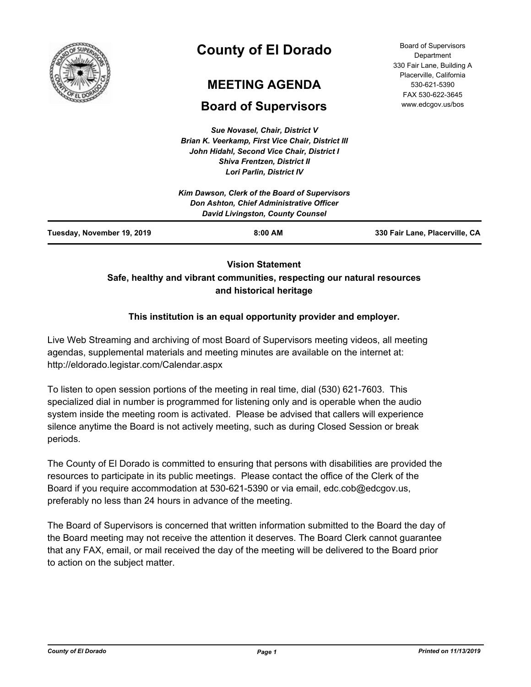

# **County of El Dorado**

# **MEETING AGENDA**

# **Board of Supervisors**

*Sue Novasel, Chair, District V Brian K. Veerkamp, First Vice Chair, District III John Hidahl, Second Vice Chair, District I Shiva Frentzen, District II*

|                            | <b>Lori Parlin, District IV</b>                                                                                                      |                                |
|----------------------------|--------------------------------------------------------------------------------------------------------------------------------------|--------------------------------|
|                            | Kim Dawson, Clerk of the Board of Supervisors<br>Don Ashton, Chief Administrative Officer<br><b>David Livingston, County Counsel</b> |                                |
| Tuesday, November 19, 2019 | $8:00$ AM                                                                                                                            | 330 Fair Lane, Placerville, CA |

# **Vision Statement Safe, healthy and vibrant communities, respecting our natural resources and historical heritage**

## **This institution is an equal opportunity provider and employer.**

Live Web Streaming and archiving of most Board of Supervisors meeting videos, all meeting agendas, supplemental materials and meeting minutes are available on the internet at: http://eldorado.legistar.com/Calendar.aspx

To listen to open session portions of the meeting in real time, dial (530) 621-7603. This specialized dial in number is programmed for listening only and is operable when the audio system inside the meeting room is activated. Please be advised that callers will experience silence anytime the Board is not actively meeting, such as during Closed Session or break periods.

The County of El Dorado is committed to ensuring that persons with disabilities are provided the resources to participate in its public meetings. Please contact the office of the Clerk of the Board if you require accommodation at 530-621-5390 or via email, edc.cob@edcgov.us, preferably no less than 24 hours in advance of the meeting.

The Board of Supervisors is concerned that written information submitted to the Board the day of the Board meeting may not receive the attention it deserves. The Board Clerk cannot guarantee that any FAX, email, or mail received the day of the meeting will be delivered to the Board prior to action on the subject matter.

Board of Supervisors **Department** 330 Fair Lane, Building A Placerville, California 530-621-5390 FAX 530-622-3645 www.edcgov.us/bos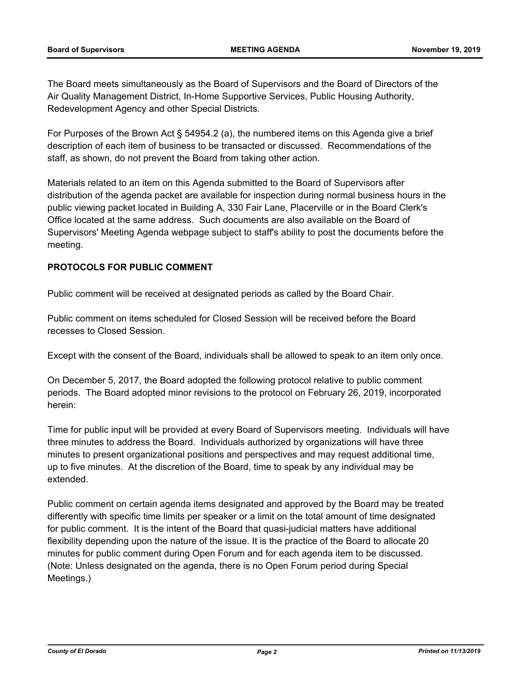The Board meets simultaneously as the Board of Supervisors and the Board of Directors of the Air Quality Management District, In-Home Supportive Services, Public Housing Authority, Redevelopment Agency and other Special Districts.

For Purposes of the Brown Act § 54954.2 (a), the numbered items on this Agenda give a brief description of each item of business to be transacted or discussed. Recommendations of the staff, as shown, do not prevent the Board from taking other action.

Materials related to an item on this Agenda submitted to the Board of Supervisors after distribution of the agenda packet are available for inspection during normal business hours in the public viewing packet located in Building A, 330 Fair Lane, Placerville or in the Board Clerk's Office located at the same address. Such documents are also available on the Board of Supervisors' Meeting Agenda webpage subject to staff's ability to post the documents before the meeting.

### **PROTOCOLS FOR PUBLIC COMMENT**

Public comment will be received at designated periods as called by the Board Chair.

Public comment on items scheduled for Closed Session will be received before the Board recesses to Closed Session.

Except with the consent of the Board, individuals shall be allowed to speak to an item only once.

On December 5, 2017, the Board adopted the following protocol relative to public comment periods. The Board adopted minor revisions to the protocol on February 26, 2019, incorporated herein:

Time for public input will be provided at every Board of Supervisors meeting. Individuals will have three minutes to address the Board. Individuals authorized by organizations will have three minutes to present organizational positions and perspectives and may request additional time, up to five minutes. At the discretion of the Board, time to speak by any individual may be extended.

Public comment on certain agenda items designated and approved by the Board may be treated differently with specific time limits per speaker or a limit on the total amount of time designated for public comment. It is the intent of the Board that quasi-judicial matters have additional flexibility depending upon the nature of the issue. It is the practice of the Board to allocate 20 minutes for public comment during Open Forum and for each agenda item to be discussed. (Note: Unless designated on the agenda, there is no Open Forum period during Special Meetings.)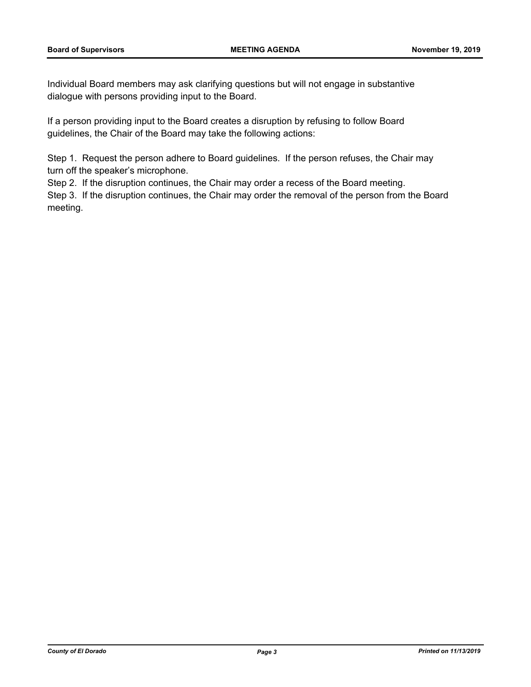Individual Board members may ask clarifying questions but will not engage in substantive dialogue with persons providing input to the Board.

If a person providing input to the Board creates a disruption by refusing to follow Board guidelines, the Chair of the Board may take the following actions:

Step 1. Request the person adhere to Board guidelines. If the person refuses, the Chair may turn off the speaker's microphone.

Step 2. If the disruption continues, the Chair may order a recess of the Board meeting.

Step 3. If the disruption continues, the Chair may order the removal of the person from the Board meeting.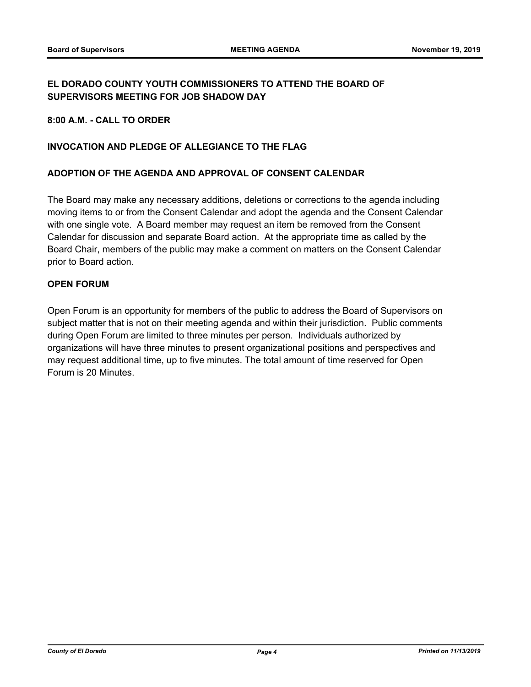## **EL DORADO COUNTY YOUTH COMMISSIONERS TO ATTEND THE BOARD OF SUPERVISORS MEETING FOR JOB SHADOW DAY**

**8:00 A.M. - CALL TO ORDER**

### **INVOCATION AND PLEDGE OF ALLEGIANCE TO THE FLAG**

### **ADOPTION OF THE AGENDA AND APPROVAL OF CONSENT CALENDAR**

The Board may make any necessary additions, deletions or corrections to the agenda including moving items to or from the Consent Calendar and adopt the agenda and the Consent Calendar with one single vote. A Board member may request an item be removed from the Consent Calendar for discussion and separate Board action. At the appropriate time as called by the Board Chair, members of the public may make a comment on matters on the Consent Calendar prior to Board action.

### **OPEN FORUM**

Open Forum is an opportunity for members of the public to address the Board of Supervisors on subject matter that is not on their meeting agenda and within their jurisdiction. Public comments during Open Forum are limited to three minutes per person. Individuals authorized by organizations will have three minutes to present organizational positions and perspectives and may request additional time, up to five minutes. The total amount of time reserved for Open Forum is 20 Minutes.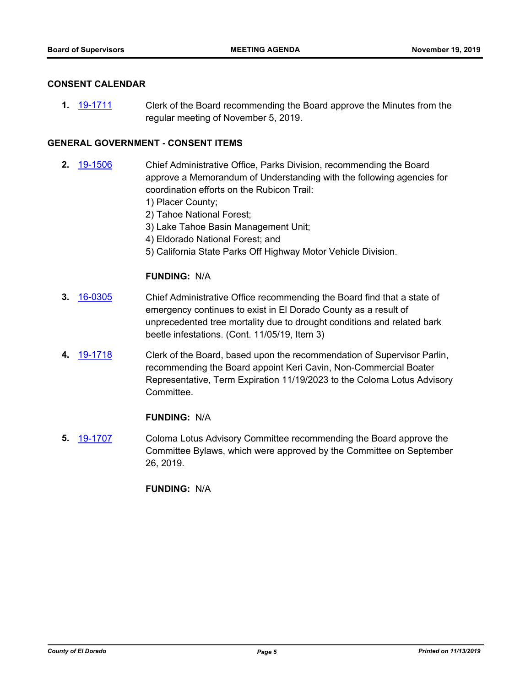### **CONSENT CALENDAR**

**1.** [19-1711](http://eldorado.legistar.com/gateway.aspx?m=l&id=/matter.aspx?key=27035) Clerk of the Board recommending the Board approve the Minutes from the regular meeting of November 5, 2019.

### **GENERAL GOVERNMENT - CONSENT ITEMS**

- **2.** [19-1506](http://eldorado.legistar.com/gateway.aspx?m=l&id=/matter.aspx?key=26828) Chief Administrative Office, Parks Division, recommending the Board approve a Memorandum of Understanding with the following agencies for coordination efforts on the Rubicon Trail:
	- 1) Placer County;
	- 2) Tahoe National Forest;
	- 3) Lake Tahoe Basin Management Unit;
	- 4) Eldorado National Forest; and
	- 5) California State Parks Off Highway Motor Vehicle Division.

### **FUNDING:** N/A

- **3.** [16-0305](http://eldorado.legistar.com/gateway.aspx?m=l&id=/matter.aspx?key=20961) Chief Administrative Office recommending the Board find that a state of emergency continues to exist in El Dorado County as a result of unprecedented tree mortality due to drought conditions and related bark beetle infestations. (Cont. 11/05/19, Item 3)
- **4.** [19-1718](http://eldorado.legistar.com/gateway.aspx?m=l&id=/matter.aspx?key=27042) Clerk of the Board, based upon the recommendation of Supervisor Parlin, recommending the Board appoint Keri Cavin, Non-Commercial Boater Representative, Term Expiration 11/19/2023 to the Coloma Lotus Advisory Committee.

### **FUNDING:** N/A

**5.** [19-1707](http://eldorado.legistar.com/gateway.aspx?m=l&id=/matter.aspx?key=27031) Coloma Lotus Advisory Committee recommending the Board approve the Committee Bylaws, which were approved by the Committee on September 26, 2019.

**FUNDING:** N/A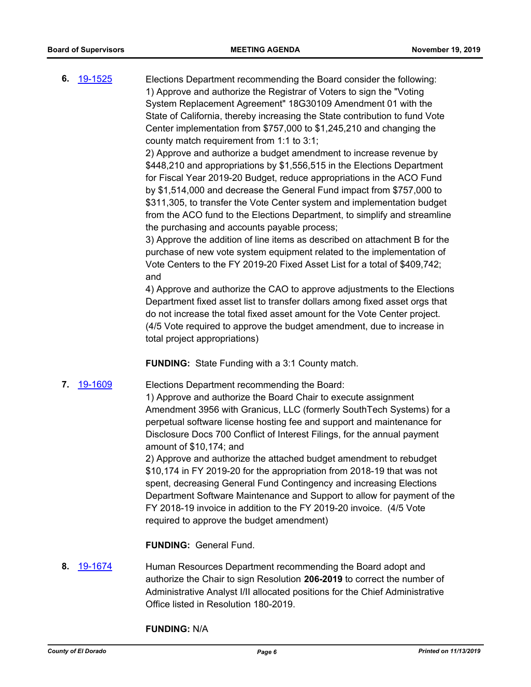**6.** [19-1525](http://eldorado.legistar.com/gateway.aspx?m=l&id=/matter.aspx?key=26847) Elections Department recommending the Board consider the following: 1) Approve and authorize the Registrar of Voters to sign the "Voting System Replacement Agreement" 18G30109 Amendment 01 with the State of California, thereby increasing the State contribution to fund Vote Center implementation from \$757,000 to \$1,245,210 and changing the county match requirement from 1:1 to 3:1;

> 2) Approve and authorize a budget amendment to increase revenue by \$448,210 and appropriations by \$1,556,515 in the Elections Department for Fiscal Year 2019-20 Budget, reduce appropriations in the ACO Fund by \$1,514,000 and decrease the General Fund impact from \$757,000 to \$311,305, to transfer the Vote Center system and implementation budget from the ACO fund to the Elections Department, to simplify and streamline the purchasing and accounts payable process;

> 3) Approve the addition of line items as described on attachment B for the purchase of new vote system equipment related to the implementation of Vote Centers to the FY 2019-20 Fixed Asset List for a total of \$409,742; and

4) Approve and authorize the CAO to approve adjustments to the Elections Department fixed asset list to transfer dollars among fixed asset orgs that do not increase the total fixed asset amount for the Vote Center project. (4/5 Vote required to approve the budget amendment, due to increase in total project appropriations)

**FUNDING:** State Funding with a 3:1 County match.

**7.** [19-1609](http://eldorado.legistar.com/gateway.aspx?m=l&id=/matter.aspx?key=26933) Elections Department recommending the Board:

1) Approve and authorize the Board Chair to execute assignment Amendment 3956 with Granicus, LLC (formerly SouthTech Systems) for a perpetual software license hosting fee and support and maintenance for Disclosure Docs 700 Conflict of Interest Filings, for the annual payment amount of \$10,174; and

2) Approve and authorize the attached budget amendment to rebudget \$10,174 in FY 2019-20 for the appropriation from 2018-19 that was not spent, decreasing General Fund Contingency and increasing Elections Department Software Maintenance and Support to allow for payment of the FY 2018-19 invoice in addition to the FY 2019-20 invoice. (4/5 Vote required to approve the budget amendment)

**FUNDING:** General Fund.

**8.** [19-1674](http://eldorado.legistar.com/gateway.aspx?m=l&id=/matter.aspx?key=26998) Human Resources Department recommending the Board adopt and authorize the Chair to sign Resolution **206-2019** to correct the number of Administrative Analyst I/II allocated positions for the Chief Administrative Office listed in Resolution 180-2019.

**FUNDING:** N/A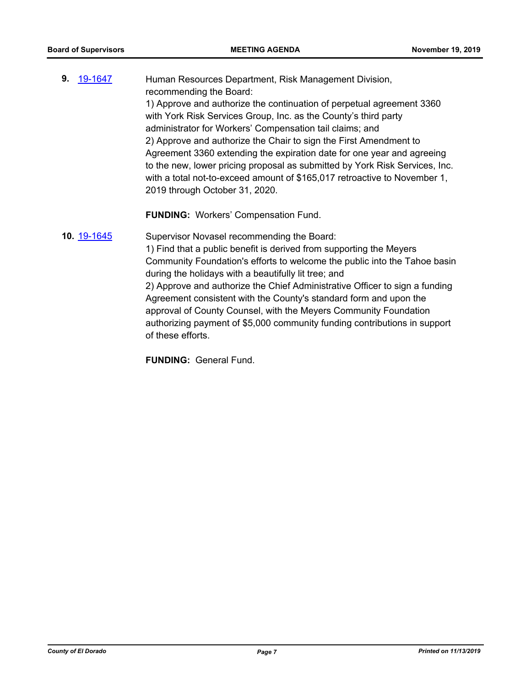**9.** [19-1647](http://eldorado.legistar.com/gateway.aspx?m=l&id=/matter.aspx?key=26971) Human Resources Department, Risk Management Division, recommending the Board: 1) Approve and authorize the continuation of perpetual agreement 3360 with York Risk Services Group, Inc. as the County's third party administrator for Workers' Compensation tail claims; and 2) Approve and authorize the Chair to sign the First Amendment to Agreement 3360 extending the expiration date for one year and agreeing to the new, lower pricing proposal as submitted by York Risk Services, Inc. with a total not-to-exceed amount of \$165,017 retroactive to November 1, 2019 through October 31, 2020.

**FUNDING:** Workers' Compensation Fund.

**10.** [19-1645](http://eldorado.legistar.com/gateway.aspx?m=l&id=/matter.aspx?key=26969) Supervisor Novasel recommending the Board: 1) Find that a public benefit is derived from supporting the Meyers Community Foundation's efforts to welcome the public into the Tahoe basin during the holidays with a beautifully lit tree; and 2) Approve and authorize the Chief Administrative Officer to sign a funding Agreement consistent with the County's standard form and upon the approval of County Counsel, with the Meyers Community Foundation authorizing payment of \$5,000 community funding contributions in support of these efforts.

**FUNDING:** General Fund.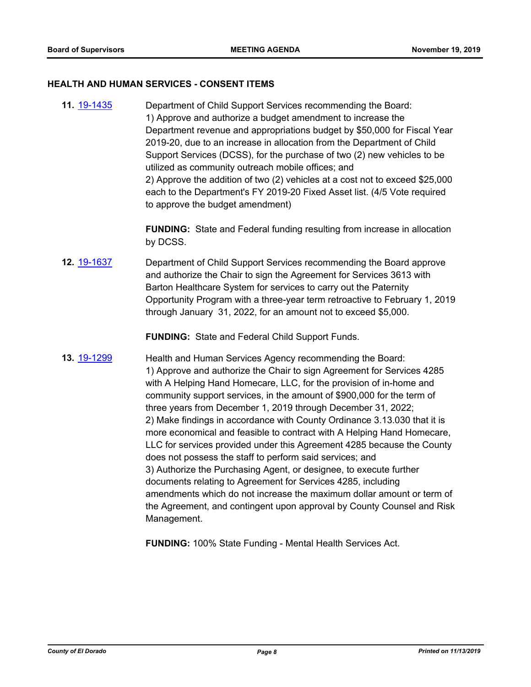#### **HEALTH AND HUMAN SERVICES - CONSENT ITEMS**

**11.** [19-1435](http://eldorado.legistar.com/gateway.aspx?m=l&id=/matter.aspx?key=26756) Department of Child Support Services recommending the Board: 1) Approve and authorize a budget amendment to increase the Department revenue and appropriations budget by \$50,000 for Fiscal Year 2019-20, due to an increase in allocation from the Department of Child Support Services (DCSS), for the purchase of two (2) new vehicles to be utilized as community outreach mobile offices; and 2) Approve the addition of two (2) vehicles at a cost not to exceed \$25,000 each to the Department's FY 2019-20 Fixed Asset list. (4/5 Vote required to approve the budget amendment)

> **FUNDING:** State and Federal funding resulting from increase in allocation by DCSS.

**12.** [19-1637](http://eldorado.legistar.com/gateway.aspx?m=l&id=/matter.aspx?key=26961) Department of Child Support Services recommending the Board approve and authorize the Chair to sign the Agreement for Services 3613 with Barton Healthcare System for services to carry out the Paternity Opportunity Program with a three-year term retroactive to February 1, 2019 through January 31, 2022, for an amount not to exceed \$5,000.

**FUNDING:** State and Federal Child Support Funds.

**13.** [19-1299](http://eldorado.legistar.com/gateway.aspx?m=l&id=/matter.aspx?key=26621) Health and Human Services Agency recommending the Board: 1) Approve and authorize the Chair to sign Agreement for Services 4285 with A Helping Hand Homecare, LLC, for the provision of in-home and community support services, in the amount of \$900,000 for the term of three years from December 1, 2019 through December 31, 2022; 2) Make findings in accordance with County Ordinance 3.13.030 that it is more economical and feasible to contract with A Helping Hand Homecare, LLC for services provided under this Agreement 4285 because the County does not possess the staff to perform said services; and 3) Authorize the Purchasing Agent, or designee, to execute further documents relating to Agreement for Services 4285, including amendments which do not increase the maximum dollar amount or term of the Agreement, and contingent upon approval by County Counsel and Risk Management.

**FUNDING:** 100% State Funding - Mental Health Services Act.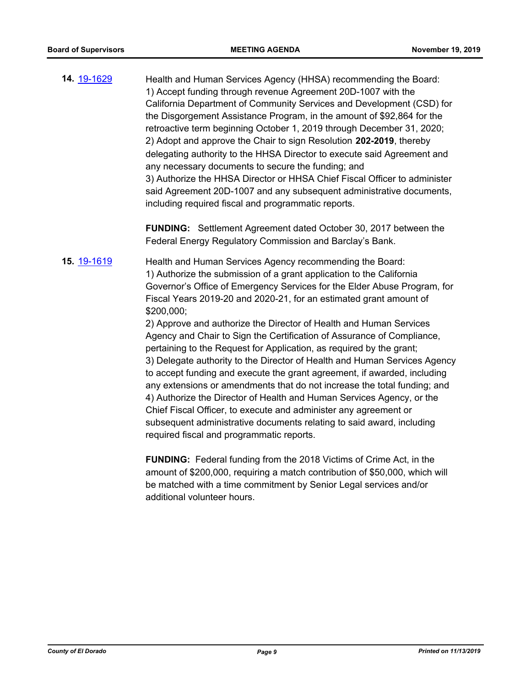**14.** [19-1629](http://eldorado.legistar.com/gateway.aspx?m=l&id=/matter.aspx?key=26953) Health and Human Services Agency (HHSA) recommending the Board: 1) Accept funding through revenue Agreement 20D-1007 with the California Department of Community Services and Development (CSD) for the Disgorgement Assistance Program, in the amount of \$92,864 for the retroactive term beginning October 1, 2019 through December 31, 2020; 2) Adopt and approve the Chair to sign Resolution **202-2019**, thereby delegating authority to the HHSA Director to execute said Agreement and any necessary documents to secure the funding; and 3) Authorize the HHSA Director or HHSA Chief Fiscal Officer to administer said Agreement 20D-1007 and any subsequent administrative documents, including required fiscal and programmatic reports.

> **FUNDING:** Settlement Agreement dated October 30, 2017 between the Federal Energy Regulatory Commission and Barclay's Bank.

**15.** [19-1619](http://eldorado.legistar.com/gateway.aspx?m=l&id=/matter.aspx?key=26943) Health and Human Services Agency recommending the Board: 1) Authorize the submission of a grant application to the California Governor's Office of Emergency Services for the Elder Abuse Program, for Fiscal Years 2019-20 and 2020-21, for an estimated grant amount of \$200,000;

> 2) Approve and authorize the Director of Health and Human Services Agency and Chair to Sign the Certification of Assurance of Compliance, pertaining to the Request for Application, as required by the grant; 3) Delegate authority to the Director of Health and Human Services Agency to accept funding and execute the grant agreement, if awarded, including any extensions or amendments that do not increase the total funding; and 4) Authorize the Director of Health and Human Services Agency, or the Chief Fiscal Officer, to execute and administer any agreement or subsequent administrative documents relating to said award, including required fiscal and programmatic reports.

**FUNDING:** Federal funding from the 2018 Victims of Crime Act, in the amount of \$200,000, requiring a match contribution of \$50,000, which will be matched with a time commitment by Senior Legal services and/or additional volunteer hours.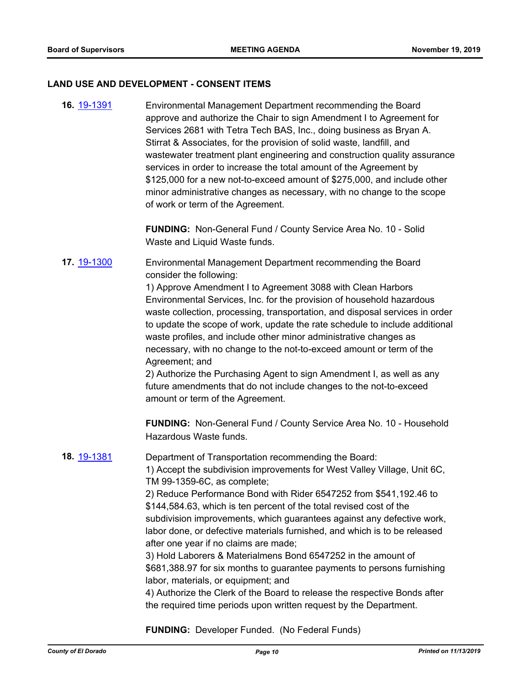### **LAND USE AND DEVELOPMENT - CONSENT ITEMS**

**16.** [19-1391](http://eldorado.legistar.com/gateway.aspx?m=l&id=/matter.aspx?key=26712) Environmental Management Department recommending the Board approve and authorize the Chair to sign Amendment I to Agreement for Services 2681 with Tetra Tech BAS, Inc., doing business as Bryan A. Stirrat & Associates, for the provision of solid waste, landfill, and wastewater treatment plant engineering and construction quality assurance services in order to increase the total amount of the Agreement by \$125,000 for a new not-to-exceed amount of \$275,000, and include other minor administrative changes as necessary, with no change to the scope of work or term of the Agreement.

> **FUNDING:** Non-General Fund / County Service Area No. 10 - Solid Waste and Liquid Waste funds.

## **17.** [19-1300](http://eldorado.legistar.com/gateway.aspx?m=l&id=/matter.aspx?key=26622) Environmental Management Department recommending the Board consider the following:

1) Approve Amendment I to Agreement 3088 with Clean Harbors Environmental Services, Inc. for the provision of household hazardous waste collection, processing, transportation, and disposal services in order to update the scope of work, update the rate schedule to include additional waste profiles, and include other minor administrative changes as necessary, with no change to the not-to-exceed amount or term of the Agreement; and

2) Authorize the Purchasing Agent to sign Amendment I, as well as any future amendments that do not include changes to the not-to-exceed amount or term of the Agreement.

**FUNDING:** Non-General Fund / County Service Area No. 10 - Household Hazardous Waste funds.

# **18.** [19-1381](http://eldorado.legistar.com/gateway.aspx?m=l&id=/matter.aspx?key=26702) Department of Transportation recommending the Board: 1) Accept the subdivision improvements for West Valley Village, Unit 6C, TM 99-1359-6C, as complete; 2) Reduce Performance Bond with Rider 6547252 from \$541,192.46 to \$144,584.63, which is ten percent of the total revised cost of the subdivision improvements, which guarantees against any defective work, labor done, or defective materials furnished, and which is to be released after one year if no claims are made; 3) Hold Laborers & Materialmens Bond 6547252 in the amount of \$681,388.97 for six months to guarantee payments to persons furnishing labor, materials, or equipment; and 4) Authorize the Clerk of the Board to release the respective Bonds after

**FUNDING:** Developer Funded. (No Federal Funds)

the required time periods upon written request by the Department.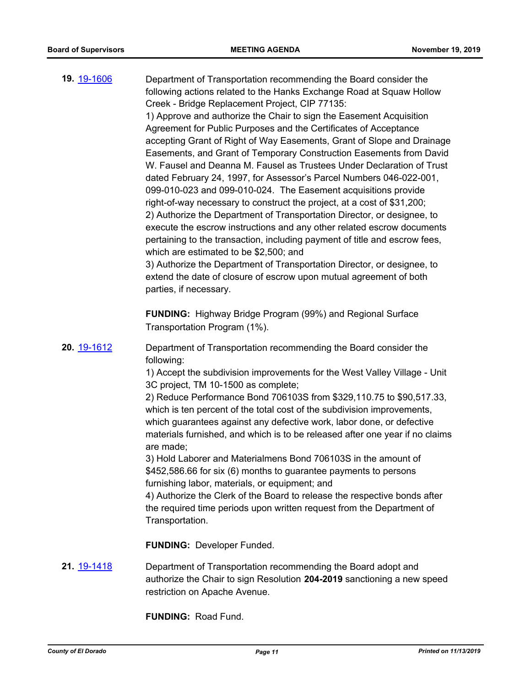| 19. 19-1606 | Department of Transportation recommending the Board consider the<br>following actions related to the Hanks Exchange Road at Squaw Hollow<br>Creek - Bridge Replacement Project, CIP 77135:<br>1) Approve and authorize the Chair to sign the Easement Acquisition<br>Agreement for Public Purposes and the Certificates of Acceptance<br>accepting Grant of Right of Way Easements, Grant of Slope and Drainage<br>Easements, and Grant of Temporary Construction Easements from David<br>W. Fausel and Deanna M. Fausel as Trustees Under Declaration of Trust<br>dated February 24, 1997, for Assessor's Parcel Numbers 046-022-001,<br>099-010-023 and 099-010-024. The Easement acquisitions provide<br>right-of-way necessary to construct the project, at a cost of \$31,200;<br>2) Authorize the Department of Transportation Director, or designee, to<br>execute the escrow instructions and any other related escrow documents<br>pertaining to the transaction, including payment of title and escrow fees,<br>which are estimated to be \$2,500; and<br>3) Authorize the Department of Transportation Director, or designee, to<br>extend the date of closure of escrow upon mutual agreement of both<br>parties, if necessary.<br><b>FUNDING:</b> Highway Bridge Program (99%) and Regional Surface |
|-------------|------------------------------------------------------------------------------------------------------------------------------------------------------------------------------------------------------------------------------------------------------------------------------------------------------------------------------------------------------------------------------------------------------------------------------------------------------------------------------------------------------------------------------------------------------------------------------------------------------------------------------------------------------------------------------------------------------------------------------------------------------------------------------------------------------------------------------------------------------------------------------------------------------------------------------------------------------------------------------------------------------------------------------------------------------------------------------------------------------------------------------------------------------------------------------------------------------------------------------------------------------------------------------------------------------------------|
|             | Transportation Program (1%).                                                                                                                                                                                                                                                                                                                                                                                                                                                                                                                                                                                                                                                                                                                                                                                                                                                                                                                                                                                                                                                                                                                                                                                                                                                                                     |
| 20. 19-1612 | Department of Transportation recommending the Board consider the<br>following:<br>1) Accept the subdivision improvements for the West Valley Village - Unit<br>3C project, TM 10-1500 as complete;<br>2) Reduce Performance Bond 706103S from \$329,110.75 to \$90,517.33,<br>which is ten percent of the total cost of the subdivision improvements,<br>which guarantees against any defective work, labor done, or defective<br>materials furnished, and which is to be released after one year if no claims<br>are made;<br>3) Hold Laborer and Materialmens Bond 706103S in the amount of                                                                                                                                                                                                                                                                                                                                                                                                                                                                                                                                                                                                                                                                                                                    |
|             | \$452,586.66 for six (6) months to guarantee payments to persons                                                                                                                                                                                                                                                                                                                                                                                                                                                                                                                                                                                                                                                                                                                                                                                                                                                                                                                                                                                                                                                                                                                                                                                                                                                 |
|             | furnishing labor, materials, or equipment; and                                                                                                                                                                                                                                                                                                                                                                                                                                                                                                                                                                                                                                                                                                                                                                                                                                                                                                                                                                                                                                                                                                                                                                                                                                                                   |
|             | 4) Authorize the Clerk of the Board to release the respective bonds after<br>the required time periods upon written request from the Department of<br>Transportation.                                                                                                                                                                                                                                                                                                                                                                                                                                                                                                                                                                                                                                                                                                                                                                                                                                                                                                                                                                                                                                                                                                                                            |
|             | <b>FUNDING: Developer Funded.</b>                                                                                                                                                                                                                                                                                                                                                                                                                                                                                                                                                                                                                                                                                                                                                                                                                                                                                                                                                                                                                                                                                                                                                                                                                                                                                |
| 21. 19-1418 | Department of Transportation recommending the Board adopt and<br>authorize the Chair to sign Resolution 204-2019 sanctioning a new speed<br>restriction on Apache Avenue.                                                                                                                                                                                                                                                                                                                                                                                                                                                                                                                                                                                                                                                                                                                                                                                                                                                                                                                                                                                                                                                                                                                                        |

**FUNDING:** Road Fund.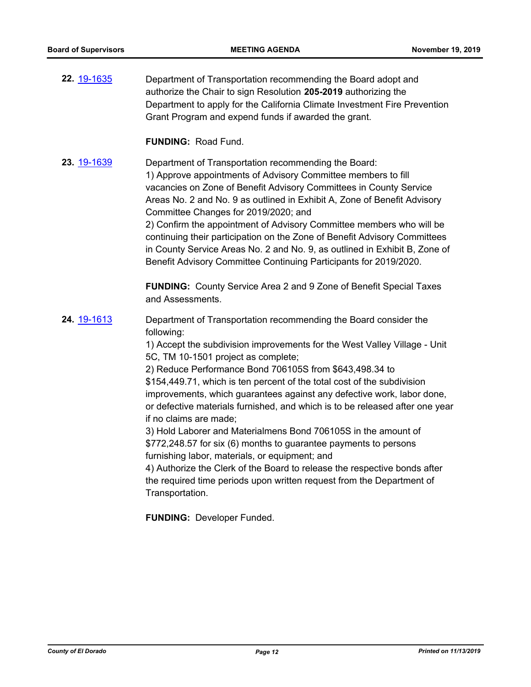**22.** [19-1635](http://eldorado.legistar.com/gateway.aspx?m=l&id=/matter.aspx?key=26959) Department of Transportation recommending the Board adopt and authorize the Chair to sign Resolution **205-2019** authorizing the Department to apply for the California Climate Investment Fire Prevention Grant Program and expend funds if awarded the grant.

**FUNDING:** Road Fund.

**23.** [19-1639](http://eldorado.legistar.com/gateway.aspx?m=l&id=/matter.aspx?key=26963) Department of Transportation recommending the Board: 1) Approve appointments of Advisory Committee members to fill vacancies on Zone of Benefit Advisory Committees in County Service Areas No. 2 and No. 9 as outlined in Exhibit A, Zone of Benefit Advisory Committee Changes for 2019/2020; and 2) Confirm the appointment of Advisory Committee members who will be continuing their participation on the Zone of Benefit Advisory Committees in County Service Areas No. 2 and No. 9, as outlined in Exhibit B, Zone of Benefit Advisory Committee Continuing Participants for 2019/2020.

> **FUNDING:** County Service Area 2 and 9 Zone of Benefit Special Taxes and Assessments.

**24.** [19-1613](http://eldorado.legistar.com/gateway.aspx?m=l&id=/matter.aspx?key=26937) Department of Transportation recommending the Board consider the following:

> 1) Accept the subdivision improvements for the West Valley Village - Unit 5C, TM 10-1501 project as complete;

2) Reduce Performance Bond 706105S from \$643,498.34 to \$154,449.71, which is ten percent of the total cost of the subdivision improvements, which guarantees against any defective work, labor done, or defective materials furnished, and which is to be released after one year if no claims are made;

3) Hold Laborer and Materialmens Bond 706105S in the amount of \$772,248.57 for six (6) months to guarantee payments to persons furnishing labor, materials, or equipment; and

4) Authorize the Clerk of the Board to release the respective bonds after the required time periods upon written request from the Department of Transportation.

**FUNDING:** Developer Funded.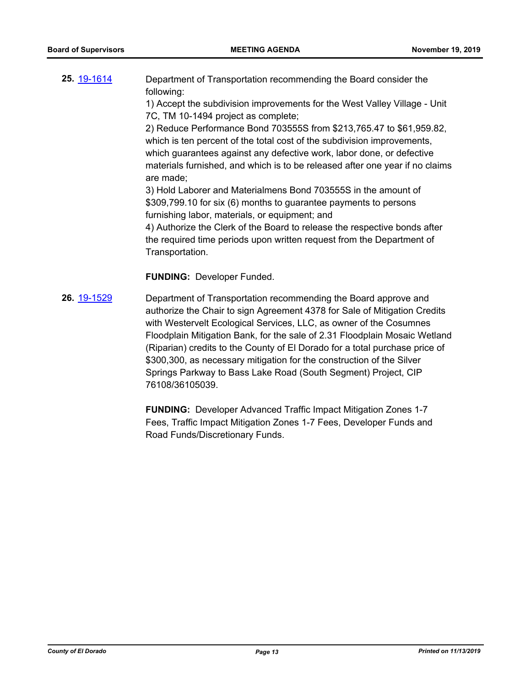| 25 19-1614 | Department of Transportation recommending the Board consider the |  |
|------------|------------------------------------------------------------------|--|
|            | following:                                                       |  |
|            |                                                                  |  |

1) Accept the subdivision improvements for the West Valley Village - Unit 7C, TM 10-1494 project as complete;

2) Reduce Performance Bond 703555S from \$213,765.47 to \$61,959.82, which is ten percent of the total cost of the subdivision improvements, which guarantees against any defective work, labor done, or defective materials furnished, and which is to be released after one year if no claims are made;

3) Hold Laborer and Materialmens Bond 703555S in the amount of \$309,799.10 for six (6) months to guarantee payments to persons furnishing labor, materials, or equipment; and

4) Authorize the Clerk of the Board to release the respective bonds after the required time periods upon written request from the Department of Transportation.

**FUNDING:** Developer Funded.

**26.** [19-1529](http://eldorado.legistar.com/gateway.aspx?m=l&id=/matter.aspx?key=26851) Department of Transportation recommending the Board approve and authorize the Chair to sign Agreement 4378 for Sale of Mitigation Credits with Westervelt Ecological Services, LLC, as owner of the Cosumnes Floodplain Mitigation Bank, for the sale of 2.31 Floodplain Mosaic Wetland (Riparian) credits to the County of El Dorado for a total purchase price of \$300,300, as necessary mitigation for the construction of the Silver Springs Parkway to Bass Lake Road (South Segment) Project, CIP 76108/36105039.

> **FUNDING:** Developer Advanced Traffic Impact Mitigation Zones 1-7 Fees, Traffic Impact Mitigation Zones 1-7 Fees, Developer Funds and Road Funds/Discretionary Funds.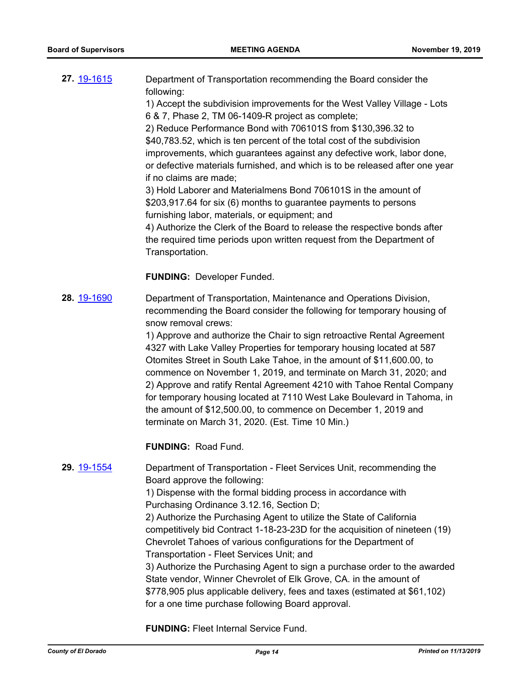| 27 19-1615 | Department of Transportation recommending the Board consider the          |
|------------|---------------------------------------------------------------------------|
|            | following:                                                                |
|            | 1) Accept the subdivision improvements for the West Valley Village - Lots |
|            | 6 & 7, Phase 2, TM 06-1409-R project as complete;                         |

2) Reduce Performance Bond with 706101S from \$130,396.32 to \$40,783.52, which is ten percent of the total cost of the subdivision improvements, which guarantees against any defective work, labor done, or defective materials furnished, and which is to be released after one year if no claims are made;

3) Hold Laborer and Materialmens Bond 706101S in the amount of \$203,917.64 for six (6) months to guarantee payments to persons furnishing labor, materials, or equipment; and

4) Authorize the Clerk of the Board to release the respective bonds after the required time periods upon written request from the Department of Transportation.

**FUNDING:** Developer Funded.

**28.** [19-1690](http://eldorado.legistar.com/gateway.aspx?m=l&id=/matter.aspx?key=27014) Department of Transportation, Maintenance and Operations Division, recommending the Board consider the following for temporary housing of snow removal crews:

> 1) Approve and authorize the Chair to sign retroactive Rental Agreement 4327 with Lake Valley Properties for temporary housing located at 587 Otomites Street in South Lake Tahoe, in the amount of \$11,600.00, to commence on November 1, 2019, and terminate on March 31, 2020; and 2) Approve and ratify Rental Agreement 4210 with Tahoe Rental Company for temporary housing located at 7110 West Lake Boulevard in Tahoma, in the amount of \$12,500.00, to commence on December 1, 2019 and terminate on March 31, 2020. (Est. Time 10 Min.)

**FUNDING:** Road Fund.

### **29.** [19-1554](http://eldorado.legistar.com/gateway.aspx?m=l&id=/matter.aspx?key=26878) Department of Transportation - Fleet Services Unit, recommending the Board approve the following:

1) Dispense with the formal bidding process in accordance with Purchasing Ordinance 3.12.16, Section D;

2) Authorize the Purchasing Agent to utilize the State of California competitively bid Contract 1-18-23-23D for the acquisition of nineteen (19) Chevrolet Tahoes of various configurations for the Department of Transportation - Fleet Services Unit; and

3) Authorize the Purchasing Agent to sign a purchase order to the awarded State vendor, Winner Chevrolet of Elk Grove, CA. in the amount of \$778,905 plus applicable delivery, fees and taxes (estimated at \$61,102) for a one time purchase following Board approval.

**FUNDING:** Fleet Internal Service Fund.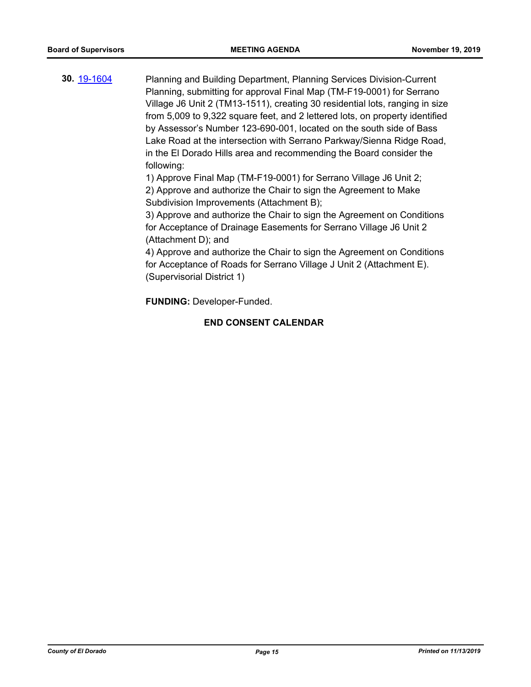**30.** [19-1604](http://eldorado.legistar.com/gateway.aspx?m=l&id=/matter.aspx?key=26928) Planning and Building Department, Planning Services Division-Current Planning, submitting for approval Final Map (TM-F19-0001) for Serrano Village J6 Unit 2 (TM13-1511), creating 30 residential lots, ranging in size from 5,009 to 9,322 square feet, and 2 lettered lots, on property identified by Assessor's Number 123-690-001, located on the south side of Bass Lake Road at the intersection with Serrano Parkway/Sienna Ridge Road, in the El Dorado Hills area and recommending the Board consider the following:

1) Approve Final Map (TM-F19-0001) for Serrano Village J6 Unit 2;

2) Approve and authorize the Chair to sign the Agreement to Make Subdivision Improvements (Attachment B);

3) Approve and authorize the Chair to sign the Agreement on Conditions for Acceptance of Drainage Easements for Serrano Village J6 Unit 2 (Attachment D); and

4) Approve and authorize the Chair to sign the Agreement on Conditions for Acceptance of Roads for Serrano Village J Unit 2 (Attachment E). (Supervisorial District 1)

**FUNDING:** Developer-Funded.

### **END CONSENT CALENDAR**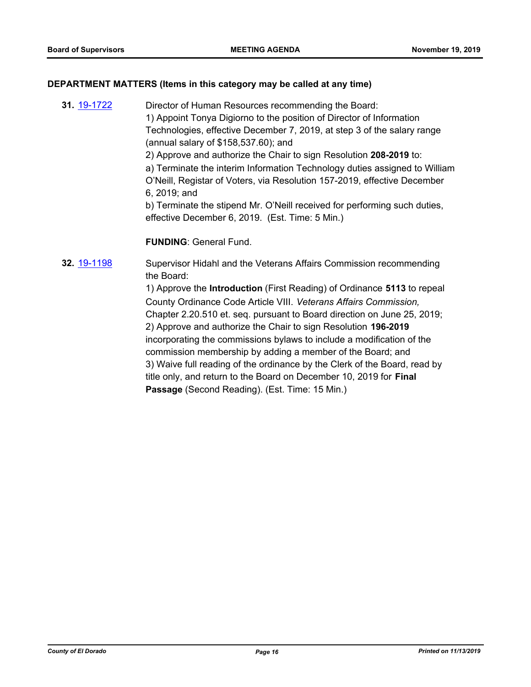### **DEPARTMENT MATTERS (Items in this category may be called at any time)**

**31.** [19-1722](http://eldorado.legistar.com/gateway.aspx?m=l&id=/matter.aspx?key=27046) Director of Human Resources recommending the Board: 1) Appoint Tonya Digiorno to the position of Director of Information Technologies, effective December 7, 2019, at step 3 of the salary range (annual salary of \$158,537.60); and 2) Approve and authorize the Chair to sign Resolution **208-2019** to: a) Terminate the interim Information Technology duties assigned to William O'Neill, Registar of Voters, via Resolution 157-2019, effective December 6, 2019; and b) Terminate the stipend Mr. O'Neill received for performing such duties, effective December 6, 2019. (Est. Time: 5 Min.)

### **FUNDING**: General Fund.

**32.** [19-1198](http://eldorado.legistar.com/gateway.aspx?m=l&id=/matter.aspx?key=26521) Supervisor Hidahl and the Veterans Affairs Commission recommending the Board: 1) Approve the **Introduction** (First Reading) of Ordinance **5113** to repeal County Ordinance Code Article VIII. *Veterans Affairs Commission,*  Chapter 2.20.510 et. seq. pursuant to Board direction on June 25, 2019; 2) Approve and authorize the Chair to sign Resolution **196-2019** incorporating the commissions bylaws to include a modification of the commission membership by adding a member of the Board; and

3) Waive full reading of the ordinance by the Clerk of the Board, read by title only, and return to the Board on December 10, 2019 for **Final Passage** (Second Reading). (Est. Time: 15 Min.)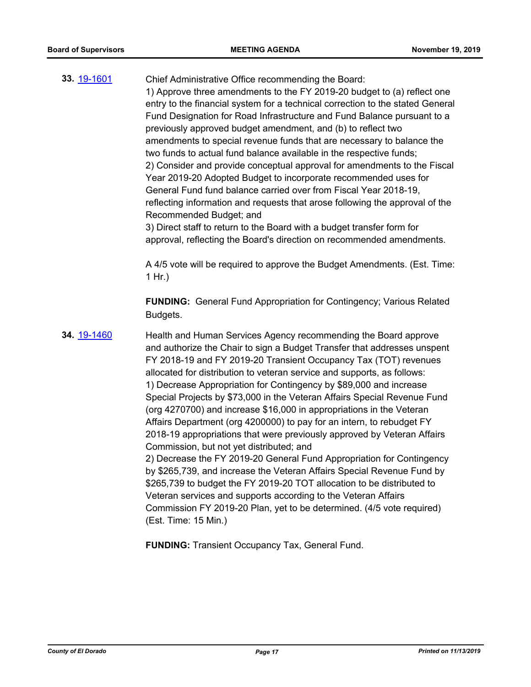| 33. 19-1601 | Chief Administrative Office recommending the Board:                            |
|-------------|--------------------------------------------------------------------------------|
|             | 1) Approve three amendments to the FY 2019-20 budget to (a) reflect one        |
|             | entry to the financial system for a technical correction to the stated General |
|             | Fund Designation for Road Infrastructure and Fund Balance pursuant to a        |
|             | previously approved budget amendment, and (b) to reflect two                   |
|             | amendments to special revenue funds that are necessary to balance the          |
|             | two funds to actual fund balance available in the respective funds;            |
|             | 2) Consider and provide conceptual approval for amendments to the Fiscal       |
|             | Year 2019-20 Adopted Budget to incorporate recommended uses for                |
|             | General Fund fund balance carried over from Fiscal Year 2018-19,               |
|             | reflecting information and requests that arose following the approval of the   |
|             | Recommended Budget; and                                                        |
|             | 3) Direct staff to return to the Board with a budget transfer form for         |
|             | approval, reflecting the Board's direction on recommended amendments.          |

A 4/5 vote will be required to approve the Budget Amendments. (Est. Time: 1 Hr.)

**FUNDING:** General Fund Appropriation for Contingency; Various Related Budgets.

**34.** [19-1460](http://eldorado.legistar.com/gateway.aspx?m=l&id=/matter.aspx?key=26781) **Health and Human Services Agency recommending the Board approve** and authorize the Chair to sign a Budget Transfer that addresses unspent FY 2018-19 and FY 2019-20 Transient Occupancy Tax (TOT) revenues allocated for distribution to veteran service and supports, as follows: 1) Decrease Appropriation for Contingency by \$89,000 and increase Special Projects by \$73,000 in the Veteran Affairs Special Revenue Fund (org 4270700) and increase \$16,000 in appropriations in the Veteran Affairs Department (org 4200000) to pay for an intern, to rebudget FY 2018-19 appropriations that were previously approved by Veteran Affairs Commission, but not yet distributed; and 2) Decrease the FY 2019-20 General Fund Appropriation for Contingency by \$265,739, and increase the Veteran Affairs Special Revenue Fund by \$265,739 to budget the FY 2019-20 TOT allocation to be distributed to Veteran services and supports according to the Veteran Affairs Commission FY 2019-20 Plan, yet to be determined. (4/5 vote required) (Est. Time: 15 Min.)

**FUNDING:** Transient Occupancy Tax, General Fund.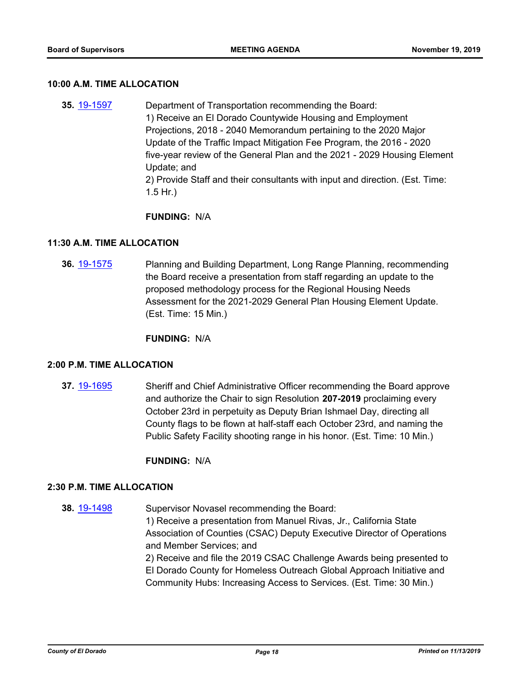### **10:00 A.M. TIME ALLOCATION**

**35.** [19-1597](http://eldorado.legistar.com/gateway.aspx?m=l&id=/matter.aspx?key=26921) Department of Transportation recommending the Board: 1) Receive an El Dorado Countywide Housing and Employment Projections, 2018 - 2040 Memorandum pertaining to the 2020 Major Update of the Traffic Impact Mitigation Fee Program, the 2016 - 2020 five-year review of the General Plan and the 2021 - 2029 Housing Element Update; and 2) Provide Staff and their consultants with input and direction. (Est. Time: 1.5 Hr.)

### **FUNDING:** N/A

### **11:30 A.M. TIME ALLOCATION**

**36.** [19-1575](http://eldorado.legistar.com/gateway.aspx?m=l&id=/matter.aspx?key=26899) Planning and Building Department, Long Range Planning, recommending the Board receive a presentation from staff regarding an update to the proposed methodology process for the Regional Housing Needs Assessment for the 2021-2029 General Plan Housing Element Update. (Est. Time: 15 Min.)

**FUNDING:** N/A

### **2:00 P.M. TIME ALLOCATION**

**37.** [19-1695](http://eldorado.legistar.com/gateway.aspx?m=l&id=/matter.aspx?key=27020) Sheriff and Chief Administrative Officer recommending the Board approve and authorize the Chair to sign Resolution **207-2019** proclaiming every October 23rd in perpetuity as Deputy Brian Ishmael Day, directing all County flags to be flown at half-staff each October 23rd, and naming the Public Safety Facility shooting range in his honor. (Est. Time: 10 Min.)

**FUNDING:** N/A

### **2:30 P.M. TIME ALLOCATION**

**38.** [19-1498](http://eldorado.legistar.com/gateway.aspx?m=l&id=/matter.aspx?key=26820) Supervisor Novasel recommending the Board:

1) Receive a presentation from Manuel Rivas, Jr., California State Association of Counties (CSAC) Deputy Executive Director of Operations and Member Services; and

2) Receive and file the 2019 CSAC Challenge Awards being presented to El Dorado County for Homeless Outreach Global Approach Initiative and Community Hubs: Increasing Access to Services. (Est. Time: 30 Min.)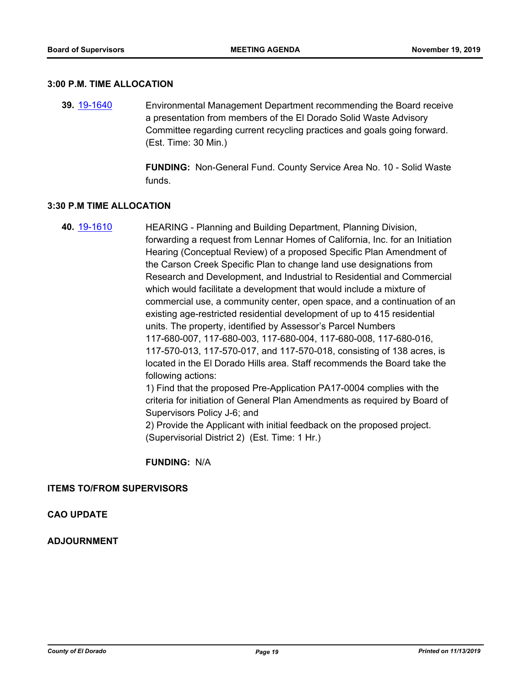#### **3:00 P.M. TIME ALLOCATION**

**39.** [19-1640](http://eldorado.legistar.com/gateway.aspx?m=l&id=/matter.aspx?key=26964) Environmental Management Department recommending the Board receive a presentation from members of the El Dorado Solid Waste Advisory Committee regarding current recycling practices and goals going forward. (Est. Time: 30 Min.)

> **FUNDING:** Non-General Fund. County Service Area No. 10 - Solid Waste funds.

### **3:30 P.M TIME ALLOCATION**

**40.** [19-1610](http://eldorado.legistar.com/gateway.aspx?m=l&id=/matter.aspx?key=26934) HEARING - Planning and Building Department, Planning Division, forwarding a request from Lennar Homes of California, Inc. for an Initiation Hearing (Conceptual Review) of a proposed Specific Plan Amendment of the Carson Creek Specific Plan to change land use designations from Research and Development, and Industrial to Residential and Commercial which would facilitate a development that would include a mixture of commercial use, a community center, open space, and a continuation of an existing age-restricted residential development of up to 415 residential units. The property, identified by Assessor's Parcel Numbers 117-680-007, 117-680-003, 117-680-004, 117-680-008, 117-680-016, 117-570-013, 117-570-017, and 117-570-018, consisting of 138 acres, is located in the El Dorado Hills area. Staff recommends the Board take the following actions: 1) Find that the proposed Pre-Application PA17-0004 complies with the criteria for initiation of General Plan Amendments as required by Board of Supervisors Policy J-6; and

2) Provide the Applicant with initial feedback on the proposed project. (Supervisorial District 2) (Est. Time: 1 Hr.)

**FUNDING:** N/A

### **ITEMS TO/FROM SUPERVISORS**

**CAO UPDATE**

**ADJOURNMENT**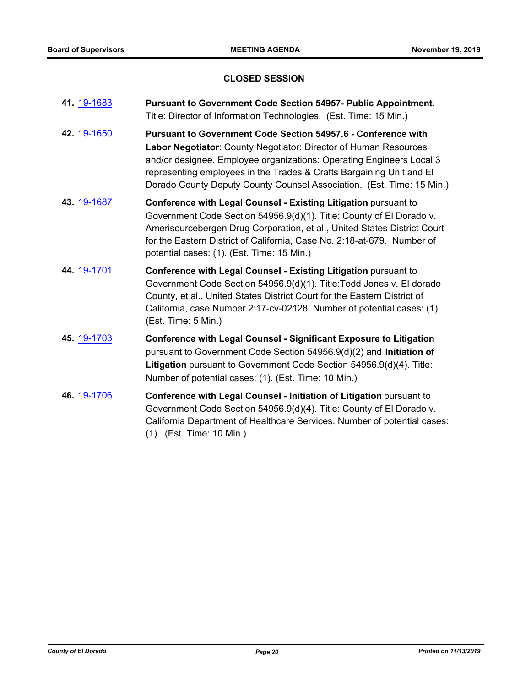### **CLOSED SESSION**

| 41. 19-1683 | <b>Pursuant to Government Code Section 54957- Public Appointment.</b><br>Title: Director of Information Technologies. (Est. Time: 15 Min.)                                                                                                                                                                                                                        |
|-------------|-------------------------------------------------------------------------------------------------------------------------------------------------------------------------------------------------------------------------------------------------------------------------------------------------------------------------------------------------------------------|
| 42. 19-1650 | <b>Pursuant to Government Code Section 54957.6 - Conference with</b><br>Labor Negotiator: County Negotiator: Director of Human Resources<br>and/or designee. Employee organizations: Operating Engineers Local 3<br>representing employees in the Trades & Crafts Bargaining Unit and El<br>Dorado County Deputy County Counsel Association. (Est. Time: 15 Min.) |
| 43. 19-1687 | Conference with Legal Counsel - Existing Litigation pursuant to<br>Government Code Section 54956.9(d)(1). Title: County of El Dorado v.<br>Amerisourcebergen Drug Corporation, et al., United States District Court<br>for the Eastern District of California, Case No. 2:18-at-679. Number of<br>potential cases: (1). (Est. Time: 15 Min.)                      |
| 44. 19-1701 | Conference with Legal Counsel - Existing Litigation pursuant to<br>Government Code Section 54956.9(d)(1). Title: Todd Jones v. El dorado<br>County, et al., United States District Court for the Eastern District of<br>California, case Number 2:17-cv-02128. Number of potential cases: (1).<br>(Est. Time: 5 Min.)                                             |
| 45. 19-1703 | <b>Conference with Legal Counsel - Significant Exposure to Litigation</b><br>pursuant to Government Code Section 54956.9(d)(2) and Initiation of<br>Litigation pursuant to Government Code Section 54956.9(d)(4). Title:<br>Number of potential cases: (1). (Est. Time: 10 Min.)                                                                                  |
| 46. 19-1706 | Conference with Legal Counsel - Initiation of Litigation pursuant to<br>Government Code Section 54956.9(d)(4). Title: County of El Dorado v.<br>California Department of Healthcare Services. Number of potential cases:<br>(1). (Est. Time: 10 Min.)                                                                                                             |